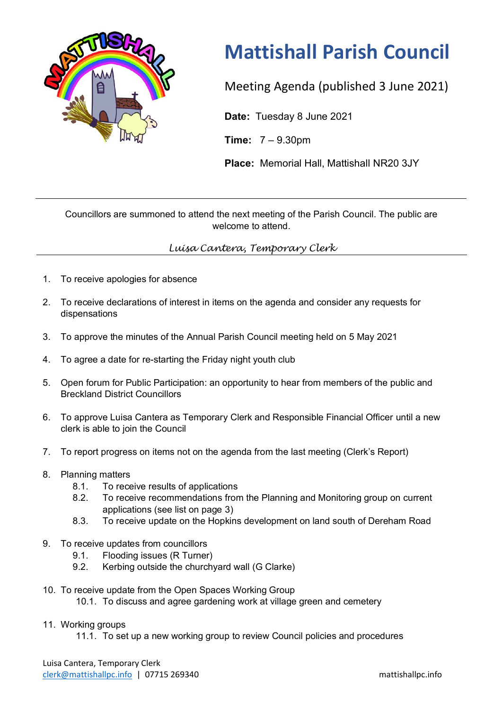

## **Mattishall Parish Council**

Meeting Agenda (published 3 June 2021)

**Date:** Tuesday 8 June 2021

**Time:** 7 – 9.30pm

**Place:** Memorial Hall, Mattishall NR20 3JY

Councillors are summoned to attend the next meeting of the Parish Council. The public are welcome to attend.

## *Luisa Cantera, Temporary Clerk*

- 1. To receive apologies for absence
- 2. To receive declarations of interest in items on the agenda and consider any requests for dispensations
- 3. To approve the minutes of the Annual Parish Council meeting held on 5 May 2021
- 4. To agree a date for re-starting the Friday night youth club
- 5. Open forum for Public Participation: an opportunity to hear from members of the public and Breckland District Councillors
- 6. To approve Luisa Cantera as Temporary Clerk and Responsible Financial Officer until a new clerk is able to join the Council
- 7. To report progress on items not on the agenda from the last meeting (Clerk's Report)
- 8. Planning matters
	- 8.1. To receive results of applications
	- 8.2. To receive recommendations from the Planning and Monitoring group on current applications (see list on page 3)
	- 8.3. To receive update on the Hopkins development on land south of Dereham Road
- 9. To receive updates from councillors
	- 9.1. Flooding issues (R Turner)
	- 9.2. Kerbing outside the churchyard wall (G Clarke)
- 10. To receive update from the Open Spaces Working Group
	- 10.1. To discuss and agree gardening work at village green and cemetery

## 11. Working groups

11.1. To set up a new working group to review Council policies and procedures